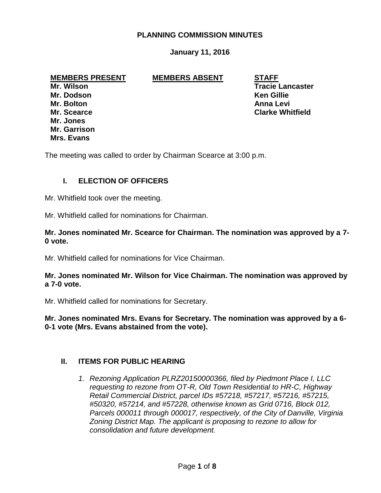## **PLANNING COMMISSION MINUTES**

## **January 11, 2016**

#### **MEMBERS PRESENT MEMBERS ABSENT STAFF**

**Mr. Dodson Ken Gillie Mr. Bolton Anna Levi Mr. Jones Mr. Garrison Mrs. Evans**

**Mr. Wilson Tracie Lancaster Mr. Scearce Clarke Whitfield**

The meeting was called to order by Chairman Scearce at 3:00 p.m.

## **I. ELECTION OF OFFICERS**

Mr. Whitfield took over the meeting.

Mr. Whitfield called for nominations for Chairman.

**Mr. Jones nominated Mr. Scearce for Chairman. The nomination was approved by a 7- 0 vote.**

Mr. Whitfield called for nominations for Vice Chairman.

**Mr. Jones nominated Mr. Wilson for Vice Chairman. The nomination was approved by a 7-0 vote.**

Mr. Whitfield called for nominations for Secretary.

**Mr. Jones nominated Mrs. Evans for Secretary. The nomination was approved by a 6- 0-1 vote (Mrs. Evans abstained from the vote).**

#### **II. ITEMS FOR PUBLIC HEARING**

*1. Rezoning Application PLRZ20150000366, filed by Piedmont Place I, LLC requesting to rezone from OT-R, Old Town Residential to HR-C, Highway Retail Commercial District, parcel IDs #57218, #57217, #57216, #57215, #50320, #57214, and #57228, otherwise known as Grid 0716, Block 012, Parcels 000011 through 000017, respectively, of the City of Danville, Virginia Zoning District Map. The applicant is proposing to rezone to allow for consolidation and future development.*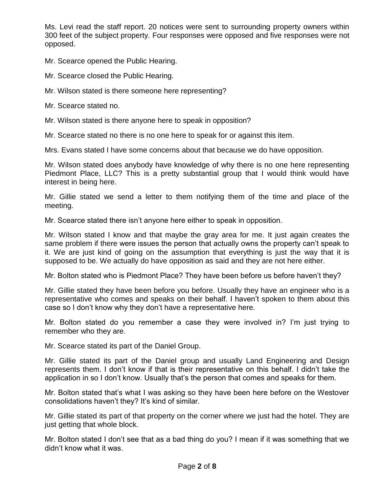Ms. Levi read the staff report. 20 notices were sent to surrounding property owners within 300 feet of the subject property. Four responses were opposed and five responses were not opposed.

Mr. Scearce opened the Public Hearing.

Mr. Scearce closed the Public Hearing.

Mr. Wilson stated is there someone here representing?

Mr. Scearce stated no.

Mr. Wilson stated is there anyone here to speak in opposition?

Mr. Scearce stated no there is no one here to speak for or against this item.

Mrs. Evans stated I have some concerns about that because we do have opposition.

Mr. Wilson stated does anybody have knowledge of why there is no one here representing Piedmont Place, LLC? This is a pretty substantial group that I would think would have interest in being here.

Mr. Gillie stated we send a letter to them notifying them of the time and place of the meeting.

Mr. Scearce stated there isn't anyone here either to speak in opposition.

Mr. Wilson stated I know and that maybe the gray area for me. It just again creates the same problem if there were issues the person that actually owns the property can't speak to it. We are just kind of going on the assumption that everything is just the way that it is supposed to be. We actually do have opposition as said and they are not here either.

Mr. Bolton stated who is Piedmont Place? They have been before us before haven't they?

Mr. Gillie stated they have been before you before. Usually they have an engineer who is a representative who comes and speaks on their behalf. I haven't spoken to them about this case so I don't know why they don't have a representative here.

Mr. Bolton stated do you remember a case they were involved in? I'm just trying to remember who they are.

Mr. Scearce stated its part of the Daniel Group.

Mr. Gillie stated its part of the Daniel group and usually Land Engineering and Design represents them. I don't know if that is their representative on this behalf. I didn't take the application in so I don't know. Usually that's the person that comes and speaks for them.

Mr. Bolton stated that's what I was asking so they have been here before on the Westover consolidations haven't they? It's kind of similar.

Mr. Gillie stated its part of that property on the corner where we just had the hotel. They are just getting that whole block.

Mr. Bolton stated I don't see that as a bad thing do you? I mean if it was something that we didn't know what it was.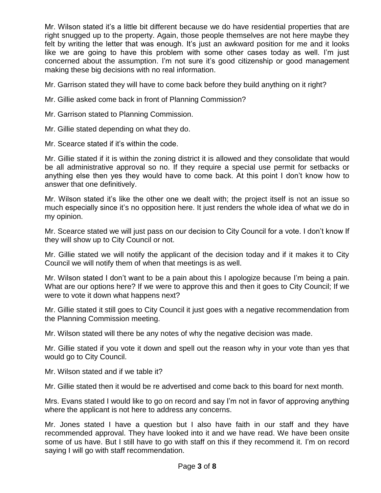Mr. Wilson stated it's a little bit different because we do have residential properties that are right snugged up to the property. Again, those people themselves are not here maybe they felt by writing the letter that was enough. It's just an awkward position for me and it looks like we are going to have this problem with some other cases today as well. I'm just concerned about the assumption. I'm not sure it's good citizenship or good management making these big decisions with no real information.

Mr. Garrison stated they will have to come back before they build anything on it right?

- Mr. Gillie asked come back in front of Planning Commission?
- Mr. Garrison stated to Planning Commission.
- Mr. Gillie stated depending on what they do.

Mr. Scearce stated if it's within the code.

Mr. Gillie stated if it is within the zoning district it is allowed and they consolidate that would be all administrative approval so no. If they require a special use permit for setbacks or anything else then yes they would have to come back. At this point I don't know how to answer that one definitively.

Mr. Wilson stated it's like the other one we dealt with; the project itself is not an issue so much especially since it's no opposition here. It just renders the whole idea of what we do in my opinion.

Mr. Scearce stated we will just pass on our decision to City Council for a vote. I don't know If they will show up to City Council or not.

Mr. Gillie stated we will notify the applicant of the decision today and if it makes it to City Council we will notify them of when that meetings is as well.

Mr. Wilson stated I don't want to be a pain about this I apologize because I'm being a pain. What are our options here? If we were to approve this and then it goes to City Council; If we were to vote it down what happens next?

Mr. Gillie stated it still goes to City Council it just goes with a negative recommendation from the Planning Commission meeting.

Mr. Wilson stated will there be any notes of why the negative decision was made.

Mr. Gillie stated if you vote it down and spell out the reason why in your vote than yes that would go to City Council.

Mr. Wilson stated and if we table it?

Mr. Gillie stated then it would be re advertised and come back to this board for next month.

Mrs. Evans stated I would like to go on record and say I'm not in favor of approving anything where the applicant is not here to address any concerns.

Mr. Jones stated I have a question but I also have faith in our staff and they have recommended approval. They have looked into it and we have read. We have been onsite some of us have. But I still have to go with staff on this if they recommend it. I'm on record saying I will go with staff recommendation.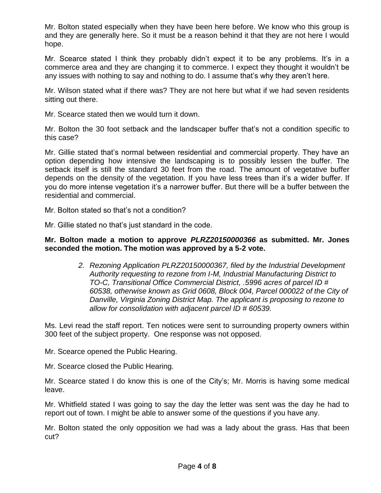Mr. Bolton stated especially when they have been here before. We know who this group is and they are generally here. So it must be a reason behind it that they are not here I would hope.

Mr. Scearce stated I think they probably didn't expect it to be any problems. It's in a commerce area and they are changing it to commerce. I expect they thought it wouldn't be any issues with nothing to say and nothing to do. I assume that's why they aren't here.

Mr. Wilson stated what if there was? They are not here but what if we had seven residents sitting out there.

Mr. Scearce stated then we would turn it down.

Mr. Bolton the 30 foot setback and the landscaper buffer that's not a condition specific to this case?

Mr. Gillie stated that's normal between residential and commercial property. They have an option depending how intensive the landscaping is to possibly lessen the buffer. The setback itself is still the standard 30 feet from the road. The amount of vegetative buffer depends on the density of the vegetation. If you have less trees than it's a wider buffer. If you do more intense vegetation it's a narrower buffer. But there will be a buffer between the residential and commercial.

Mr. Bolton stated so that's not a condition?

Mr. Gillie stated no that's just standard in the code.

### **Mr. Bolton made a motion to approve** *PLRZ20150000366* **as submitted. Mr. Jones seconded the motion. The motion was approved by a 5-2 vote.**

*2. Rezoning Application PLRZ20150000367, filed by the Industrial Development Authority requesting to rezone from I-M, Industrial Manufacturing District to TO-C, Transitional Office Commercial District, .5996 acres of parcel ID # 60538, otherwise known as Grid 0608, Block 004, Parcel 000022 of the City of Danville, Virginia Zoning District Map. The applicant is proposing to rezone to allow for consolidation with adjacent parcel ID # 60539.*

Ms. Levi read the staff report. Ten notices were sent to surrounding property owners within 300 feet of the subject property. One response was not opposed.

Mr. Scearce opened the Public Hearing.

Mr. Scearce closed the Public Hearing.

Mr. Scearce stated I do know this is one of the City's; Mr. Morris is having some medical leave.

Mr. Whitfield stated I was going to say the day the letter was sent was the day he had to report out of town. I might be able to answer some of the questions if you have any.

Mr. Bolton stated the only opposition we had was a lady about the grass. Has that been cut?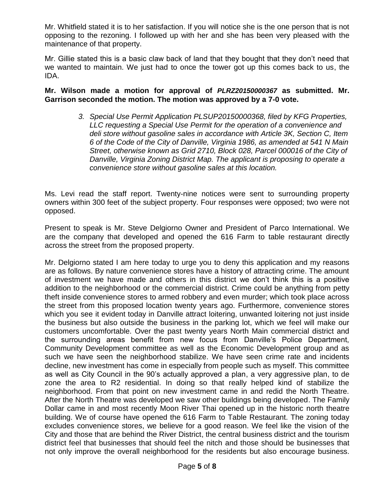Mr. Whitfield stated it is to her satisfaction. If you will notice she is the one person that is not opposing to the rezoning. I followed up with her and she has been very pleased with the maintenance of that property.

Mr. Gillie stated this is a basic claw back of land that they bought that they don't need that we wanted to maintain. We just had to once the tower got up this comes back to us, the IDA.

**Mr. Wilson made a motion for approval of** *PLRZ20150000367* **as submitted. Mr. Garrison seconded the motion. The motion was approved by a 7-0 vote.**

> *3. Special Use Permit Application PLSUP20150000368, filed by KFG Properties, LLC requesting a Special Use Permit for the operation of a convenience and deli store without gasoline sales in accordance with Article 3K, Section C, Item 6 of the Code of the City of Danville, Virginia 1986, as amended at 541 N Main Street, otherwise known as Grid 2710, Block 028, Parcel 000016 of the City of Danville, Virginia Zoning District Map. The applicant is proposing to operate a convenience store without gasoline sales at this location.*

Ms. Levi read the staff report. Twenty-nine notices were sent to surrounding property owners within 300 feet of the subject property. Four responses were opposed; two were not opposed.

Present to speak is Mr. Steve Delgiorno Owner and President of Parco International. We are the company that developed and opened the 616 Farm to table restaurant directly across the street from the proposed property.

Mr. Delgiorno stated I am here today to urge you to deny this application and my reasons are as follows. By nature convenience stores have a history of attracting crime. The amount of investment we have made and others in this district we don't think this is a positive addition to the neighborhood or the commercial district. Crime could be anything from petty theft inside convenience stores to armed robbery and even murder; which took place across the street from this proposed location twenty years ago. Furthermore, convenience stores which you see it evident today in Danville attract loitering, unwanted loitering not just inside the business but also outside the business in the parking lot, which we feel will make our customers uncomfortable. Over the past twenty years North Main commercial district and the surrounding areas benefit from new focus from Danville's Police Department, Community Development committee as well as the Economic Development group and as such we have seen the neighborhood stabilize. We have seen crime rate and incidents decline, new investment has come in especially from people such as myself. This committee as well as City Council in the 90's actually approved a plan, a very aggressive plan, to de zone the area to R2 residential. In doing so that really helped kind of stabilize the neighborhood. From that point on new investment came in and redid the North Theatre. After the North Theatre was developed we saw other buildings being developed. The Family Dollar came in and most recently Moon River Thai opened up in the historic north theatre building. We of course have opened the 616 Farm to Table Restaurant. The zoning today excludes convenience stores, we believe for a good reason. We feel like the vision of the City and those that are behind the River District, the central business district and the tourism district feel that businesses that should feel the nitch and those should be businesses that not only improve the overall neighborhood for the residents but also encourage business.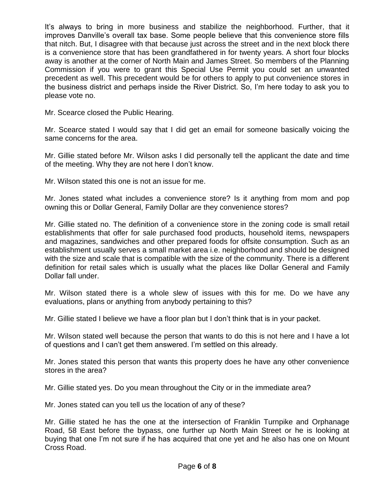It's always to bring in more business and stabilize the neighborhood. Further, that it improves Danville's overall tax base. Some people believe that this convenience store fills that nitch. But, I disagree with that because just across the street and in the next block there is a convenience store that has been grandfathered in for twenty years. A short four blocks away is another at the corner of North Main and James Street. So members of the Planning Commission if you were to grant this Special Use Permit you could set an unwanted precedent as well. This precedent would be for others to apply to put convenience stores in the business district and perhaps inside the River District. So, I'm here today to ask you to please vote no.

Mr. Scearce closed the Public Hearing.

Mr. Scearce stated I would say that I did get an email for someone basically voicing the same concerns for the area.

Mr. Gillie stated before Mr. Wilson asks I did personally tell the applicant the date and time of the meeting. Why they are not here I don't know.

Mr. Wilson stated this one is not an issue for me.

Mr. Jones stated what includes a convenience store? Is it anything from mom and pop owning this or Dollar General, Family Dollar are they convenience stores?

Mr. Gillie stated no. The definition of a convenience store in the zoning code is small retail establishments that offer for sale purchased food products, household items, newspapers and magazines, sandwiches and other prepared foods for offsite consumption. Such as an establishment usually serves a small market area i.e. neighborhood and should be designed with the size and scale that is compatible with the size of the community. There is a different definition for retail sales which is usually what the places like Dollar General and Family Dollar fall under.

Mr. Wilson stated there is a whole slew of issues with this for me. Do we have any evaluations, plans or anything from anybody pertaining to this?

Mr. Gillie stated I believe we have a floor plan but I don't think that is in your packet.

Mr. Wilson stated well because the person that wants to do this is not here and I have a lot of questions and I can't get them answered. I'm settled on this already.

Mr. Jones stated this person that wants this property does he have any other convenience stores in the area?

Mr. Gillie stated yes. Do you mean throughout the City or in the immediate area?

Mr. Jones stated can you tell us the location of any of these?

Mr. Gillie stated he has the one at the intersection of Franklin Turnpike and Orphanage Road, 58 East before the bypass, one further up North Main Street or he is looking at buying that one I'm not sure if he has acquired that one yet and he also has one on Mount Cross Road.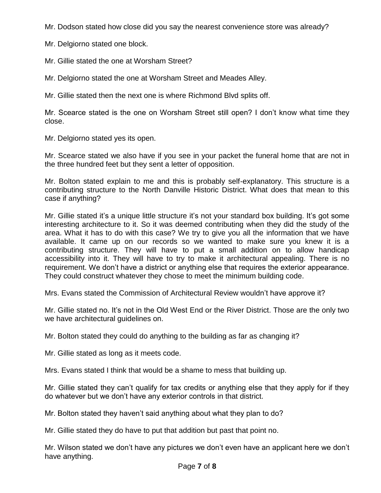Mr. Dodson stated how close did you say the nearest convenience store was already?

Mr. Delgiorno stated one block.

Mr. Gillie stated the one at Worsham Street?

Mr. Delgiorno stated the one at Worsham Street and Meades Alley.

Mr. Gillie stated then the next one is where Richmond Blvd splits off.

Mr. Scearce stated is the one on Worsham Street still open? I don't know what time they close.

Mr. Delgiorno stated yes its open.

Mr. Scearce stated we also have if you see in your packet the funeral home that are not in the three hundred feet but they sent a letter of opposition.

Mr. Bolton stated explain to me and this is probably self-explanatory. This structure is a contributing structure to the North Danville Historic District. What does that mean to this case if anything?

Mr. Gillie stated it's a unique little structure it's not your standard box building. It's got some interesting architecture to it. So it was deemed contributing when they did the study of the area. What it has to do with this case? We try to give you all the information that we have available. It came up on our records so we wanted to make sure you knew it is a contributing structure. They will have to put a small addition on to allow handicap accessibility into it. They will have to try to make it architectural appealing. There is no requirement. We don't have a district or anything else that requires the exterior appearance. They could construct whatever they chose to meet the minimum building code.

Mrs. Evans stated the Commission of Architectural Review wouldn't have approve it?

Mr. Gillie stated no. It's not in the Old West End or the River District. Those are the only two we have architectural guidelines on.

Mr. Bolton stated they could do anything to the building as far as changing it?

Mr. Gillie stated as long as it meets code.

Mrs. Evans stated I think that would be a shame to mess that building up.

Mr. Gillie stated they can't qualify for tax credits or anything else that they apply for if they do whatever but we don't have any exterior controls in that district.

Mr. Bolton stated they haven't said anything about what they plan to do?

Mr. Gillie stated they do have to put that addition but past that point no.

Mr. Wilson stated we don't have any pictures we don't even have an applicant here we don't have anything.